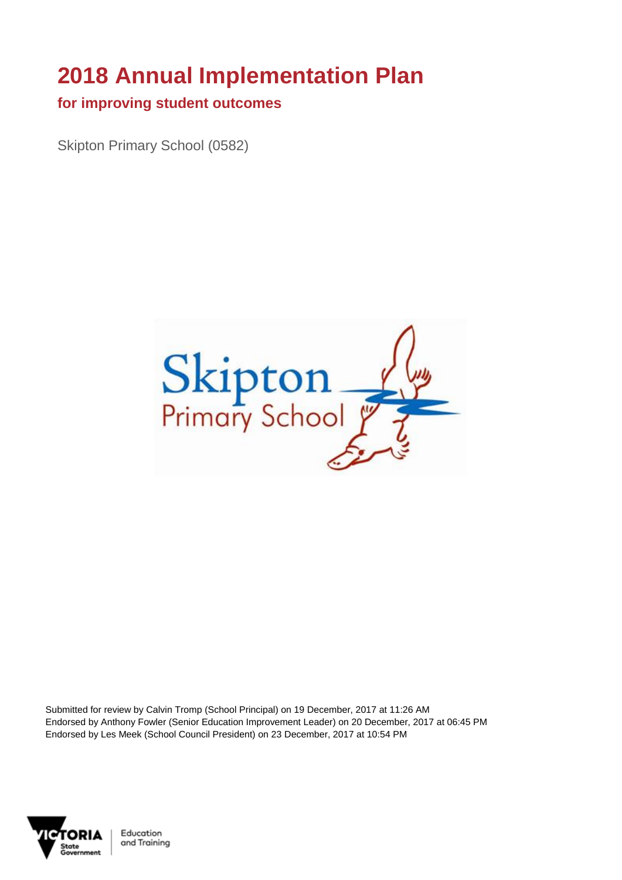# **2018 Annual Implementation Plan**

#### **for improving student outcomes**

Skipton Primary School (0582)



Submitted for review by Calvin Tromp (School Principal) on 19 December, 2017 at 11:26 AM Endorsed by Anthony Fowler (Senior Education Improvement Leader) on 20 December, 2017 at 06:45 PM Endorsed by Les Meek (School Council President) on 23 December, 2017 at 10:54 PM

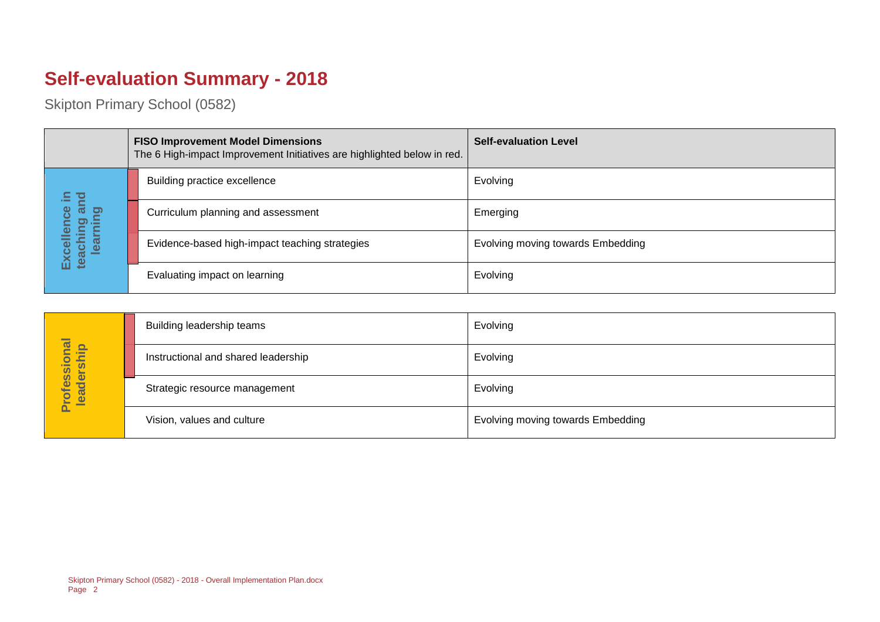# **Self-evaluation Summary - 2018**

|                                       | <b>FISO Improvement Model Dimensions</b><br>The 6 High-impact Improvement Initiatives are highlighted below in red. | <b>Self-evaluation Level</b>      |
|---------------------------------------|---------------------------------------------------------------------------------------------------------------------|-----------------------------------|
| 르                                     | Building practice excellence                                                                                        | Evolving                          |
| ౚఀ<br>lence                           | Curriculum planning and assessment                                                                                  | Emerging                          |
| Excellence<br>teaching ar<br>learning | Evidence-based high-impact teaching strategies                                                                      | Evolving moving towards Embedding |
|                                       | Evaluating impact on learning                                                                                       | Evolving                          |

|                            | Building leadership teams           | Evolving                          |
|----------------------------|-------------------------------------|-----------------------------------|
|                            | Instructional and shared leadership | Evolving                          |
| Professional<br>leadership | Strategic resource management       | Evolving                          |
|                            | Vision, values and culture          | Evolving moving towards Embedding |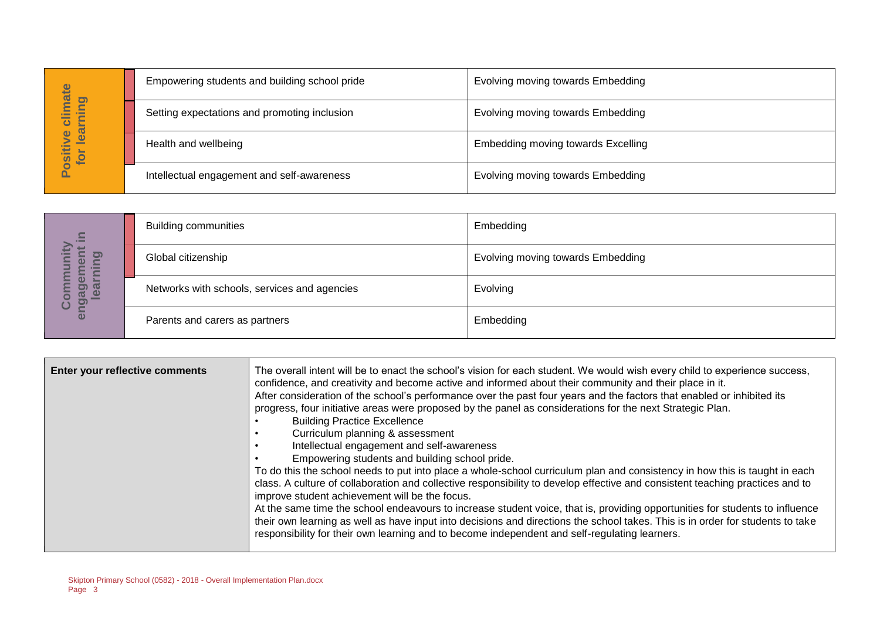|                                      | Empowering students and building school pride | Evolving moving towards Embedding  |
|--------------------------------------|-----------------------------------------------|------------------------------------|
| imate<br>pnin<br>►<br>$\overline{c}$ | Setting expectations and promoting inclusion  | Evolving moving towards Embedding  |
| lear<br>$\bullet$<br>Positiv<br>ior  | Health and wellbeing                          | Embedding moving towards Excelling |
|                                      | Intellectual engagement and self-awareness    | Evolving moving towards Embedding  |

| $\equiv$                                                      | <b>Building communities</b>                  | Embedding                                |
|---------------------------------------------------------------|----------------------------------------------|------------------------------------------|
| S<br><u>ත</u><br>nin<br>$\boldsymbol{\omega}$<br>$\mathbf{C}$ | Global citizenship                           | <b>Evolving moving towards Embedding</b> |
| ត<br><u>וכ</u><br><b>LD</b><br>enga<br><u>_യ</u><br>ပိ        | Networks with schools, services and agencies | Evolving                                 |
|                                                               | Parents and carers as partners               | Embedding                                |

|                                  |                                                                         | Empowering students and building school pride                                                                                                                                                                             | EVOIVING MOVING towards Embedding                                                                                                                                                                                                                                                                                                                                                                                                                                                                                                                                                                                                                                                                                                                                                                                                                                                                                                                                                                                                                                                                             |
|----------------------------------|-------------------------------------------------------------------------|---------------------------------------------------------------------------------------------------------------------------------------------------------------------------------------------------------------------------|---------------------------------------------------------------------------------------------------------------------------------------------------------------------------------------------------------------------------------------------------------------------------------------------------------------------------------------------------------------------------------------------------------------------------------------------------------------------------------------------------------------------------------------------------------------------------------------------------------------------------------------------------------------------------------------------------------------------------------------------------------------------------------------------------------------------------------------------------------------------------------------------------------------------------------------------------------------------------------------------------------------------------------------------------------------------------------------------------------------|
| Positive climate<br>for learning |                                                                         | Setting expectations and promoting inclusion                                                                                                                                                                              | Evolving moving towards Embedding                                                                                                                                                                                                                                                                                                                                                                                                                                                                                                                                                                                                                                                                                                                                                                                                                                                                                                                                                                                                                                                                             |
|                                  | Health and wellbeing                                                    |                                                                                                                                                                                                                           | <b>Embedding moving towards Excelling</b>                                                                                                                                                                                                                                                                                                                                                                                                                                                                                                                                                                                                                                                                                                                                                                                                                                                                                                                                                                                                                                                                     |
|                                  |                                                                         | Intellectual engagement and self-awareness                                                                                                                                                                                | Evolving moving towards Embedding                                                                                                                                                                                                                                                                                                                                                                                                                                                                                                                                                                                                                                                                                                                                                                                                                                                                                                                                                                                                                                                                             |
|                                  |                                                                         |                                                                                                                                                                                                                           |                                                                                                                                                                                                                                                                                                                                                                                                                                                                                                                                                                                                                                                                                                                                                                                                                                                                                                                                                                                                                                                                                                               |
|                                  | <b>Building communities</b>                                             |                                                                                                                                                                                                                           | Embedding                                                                                                                                                                                                                                                                                                                                                                                                                                                                                                                                                                                                                                                                                                                                                                                                                                                                                                                                                                                                                                                                                                     |
| learning                         | Global citizenship                                                      |                                                                                                                                                                                                                           | Evolving moving towards Embedding                                                                                                                                                                                                                                                                                                                                                                                                                                                                                                                                                                                                                                                                                                                                                                                                                                                                                                                                                                                                                                                                             |
| engagement in<br>Community       |                                                                         | Networks with schools, services and agencies                                                                                                                                                                              | Evolving                                                                                                                                                                                                                                                                                                                                                                                                                                                                                                                                                                                                                                                                                                                                                                                                                                                                                                                                                                                                                                                                                                      |
|                                  | Parents and carers as partners                                          |                                                                                                                                                                                                                           | Embedding                                                                                                                                                                                                                                                                                                                                                                                                                                                                                                                                                                                                                                                                                                                                                                                                                                                                                                                                                                                                                                                                                                     |
|                                  |                                                                         |                                                                                                                                                                                                                           |                                                                                                                                                                                                                                                                                                                                                                                                                                                                                                                                                                                                                                                                                                                                                                                                                                                                                                                                                                                                                                                                                                               |
| Enter your reflective comments   |                                                                         | <b>Building Practice Excellence</b><br>Curriculum planning & assessment<br>Intellectual engagement and self-awareness<br>Empowering students and building school pride.<br>improve student achievement will be the focus. | The overall intent will be to enact the school's vision for each student. We would wish every child to experience success,<br>confidence, and creativity and become active and informed about their community and their place in it.<br>After consideration of the school's performance over the past four years and the factors that enabled or inhibited its<br>progress, four initiative areas were proposed by the panel as considerations for the next Strategic Plan.<br>To do this the school needs to put into place a whole-school curriculum plan and consistency in how this is taught in each<br>class. A culture of collaboration and collective responsibility to develop effective and consistent teaching practices and to<br>At the same time the school endeavours to increase student voice, that is, providing opportunities for students to influence<br>their own learning as well as have input into decisions and directions the school takes. This is in order for students to take<br>responsibility for their own learning and to become independent and self-regulating learners. |
| Page 3                           | Skipton Primary School (0582) - 2018 - Overall Implementation Plan.docx |                                                                                                                                                                                                                           |                                                                                                                                                                                                                                                                                                                                                                                                                                                                                                                                                                                                                                                                                                                                                                                                                                                                                                                                                                                                                                                                                                               |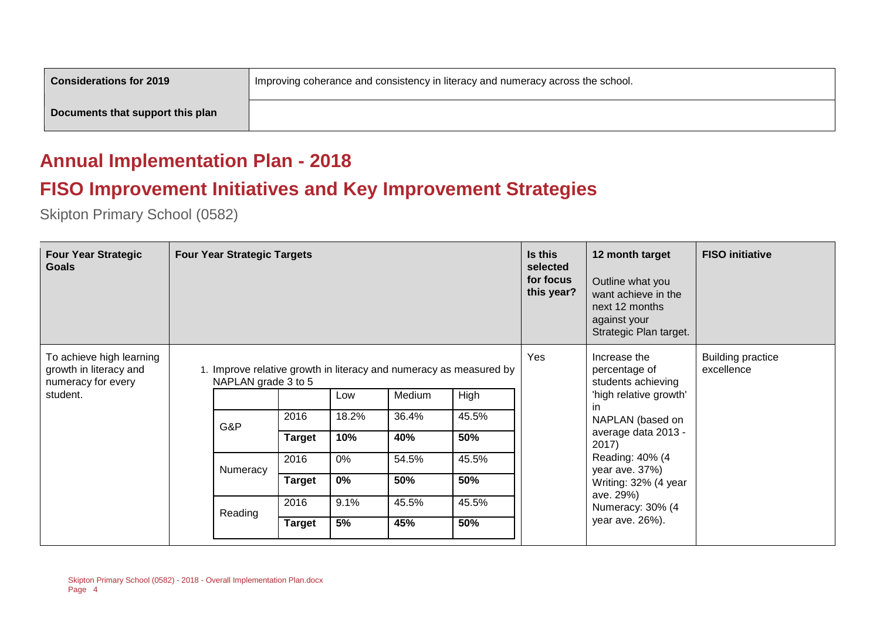| <b>Considerations for 2019</b>   | Improving coherance and consistency in literacy and numeracy across the school. |
|----------------------------------|---------------------------------------------------------------------------------|
| Documents that support this plan |                                                                                 |

#### **Annual Implementation Plan - 2018**

## **FISO Improvement Initiatives and Key Improvement Strategies**

| <b>Four Year Strategic</b><br><b>Goals</b>                               | <b>Four Year Strategic Targets</b>                                                        |               |       |        | Is this<br>selected<br>for focus<br>this year? | 12 month target<br>Outline what you<br>want achieve in the<br>next 12 months<br>against your<br>Strategic Plan target. | <b>FISO</b> initiative                                                                                               |  |
|--------------------------------------------------------------------------|-------------------------------------------------------------------------------------------|---------------|-------|--------|------------------------------------------------|------------------------------------------------------------------------------------------------------------------------|----------------------------------------------------------------------------------------------------------------------|--|
| To achieve high learning<br>growth in literacy and<br>numeracy for every | 1. Improve relative growth in literacy and numeracy as measured by<br>NAPLAN grade 3 to 5 |               |       |        | Yes                                            | Increase the<br>excellence<br>percentage of<br>students achieving                                                      | <b>Building practice</b>                                                                                             |  |
| student.                                                                 |                                                                                           |               | Low   | Medium | High                                           |                                                                                                                        | 'high relative growth'                                                                                               |  |
|                                                                          | G&P                                                                                       | 2016          | 18.2% | 36.4%  | 45.5%                                          |                                                                                                                        | in.<br>NAPLAN (based on<br>average data 2013 -<br>2017)<br>Reading: 40% (4<br>year ave. 37%)<br>Writing: 32% (4 year |  |
|                                                                          |                                                                                           | <b>Target</b> | 10%   | 40%    | 50%                                            |                                                                                                                        |                                                                                                                      |  |
|                                                                          | Numeracy                                                                                  | 2016          | 0%    | 54.5%  | 45.5%                                          |                                                                                                                        |                                                                                                                      |  |
|                                                                          |                                                                                           | <b>Target</b> | $0\%$ | 50%    | 50%                                            |                                                                                                                        |                                                                                                                      |  |
|                                                                          | Reading                                                                                   | 2016          | 9.1%  | 45.5%  | 45.5%                                          |                                                                                                                        | ave. 29%)<br>Numeracy: 30% (4                                                                                        |  |
|                                                                          |                                                                                           | <b>Target</b> | 5%    | 45%    | 50%                                            |                                                                                                                        | year ave. 26%).                                                                                                      |  |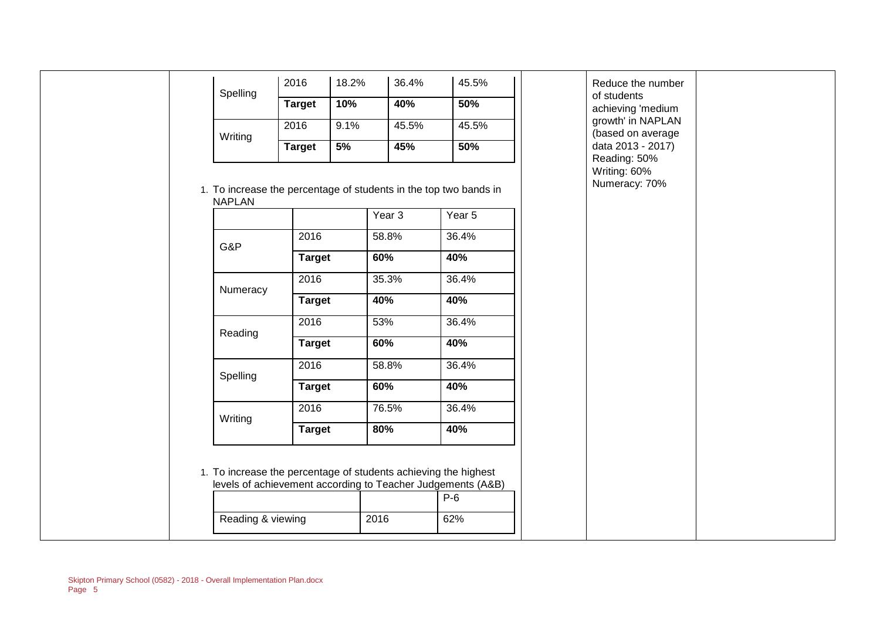| Spelling                                                                           | 2016                  | 18.2% | 36.4%        | 45.5%                                                                | Reduce the number<br>of students              |
|------------------------------------------------------------------------------------|-----------------------|-------|--------------|----------------------------------------------------------------------|-----------------------------------------------|
|                                                                                    | <b>Target</b>         | 10%   | 40%          | 50%                                                                  | achieving 'medium                             |
|                                                                                    | 2016                  | 9.1%  | 45.5%        | 45.5%                                                                | growth' in NAPLAN<br>(based on average        |
| Writing                                                                            | <b>Target</b>         | 5%    | 45%          | 50%                                                                  | data 2013 - 2017)                             |
| 1. To increase the percentage of students in the top two bands in<br><b>NAPLAN</b> |                       |       | Year 3       | Year 5                                                               | Reading: 50%<br>Writing: 60%<br>Numeracy: 70% |
| G&P                                                                                | 2016<br><b>Target</b> |       | 58.8%<br>60% | 36.4%<br>40%                                                         |                                               |
|                                                                                    |                       |       |              |                                                                      |                                               |
| Numeracy                                                                           | 2016                  |       | 35.3%        | 36.4%                                                                |                                               |
|                                                                                    | <b>Target</b>         |       | 40%          | 40%                                                                  |                                               |
| Reading                                                                            | 2016                  |       | 53%          | 36.4%                                                                |                                               |
|                                                                                    | <b>Target</b>         |       | 60%          | 40%                                                                  |                                               |
| Spelling                                                                           | 2016                  |       | 58.8%        | 36.4%                                                                |                                               |
|                                                                                    | <b>Target</b>         |       | 60%          | 40%                                                                  |                                               |
| Writing                                                                            | 2016                  |       | 76.5%        | 36.4%                                                                |                                               |
|                                                                                    | <b>Target</b>         |       | 80%          | 40%                                                                  |                                               |
| 1. To increase the percentage of students achieving the highest                    |                       |       |              | levels of achievement according to Teacher Judgements (A&B)<br>$P-6$ |                                               |
| Reading & viewing                                                                  |                       |       | 2016         | 62%                                                                  |                                               |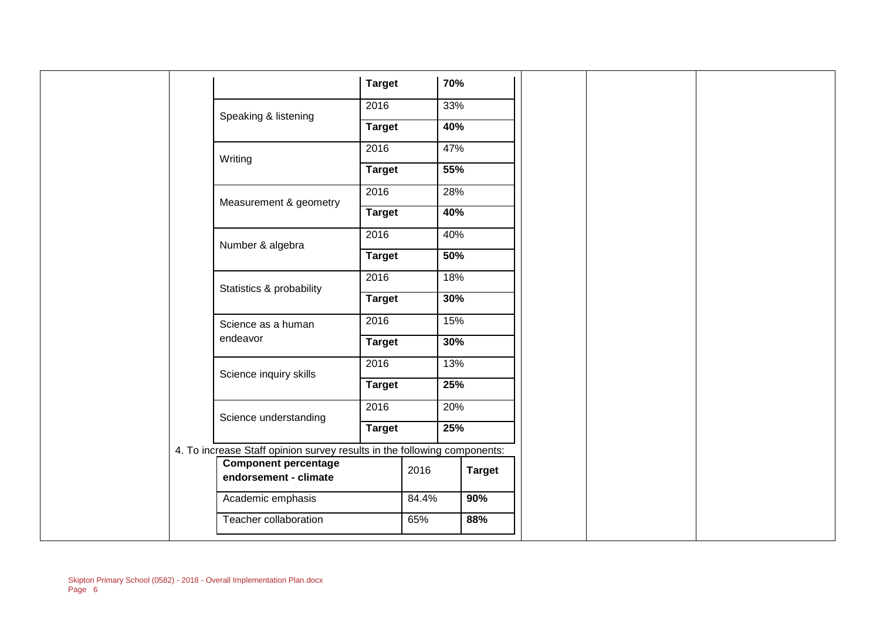|  |                                                                          | <b>Target</b> |               | 70%           |  |
|--|--------------------------------------------------------------------------|---------------|---------------|---------------|--|
|  |                                                                          |               |               |               |  |
|  | Speaking & listening                                                     | 2016          |               | 33%           |  |
|  |                                                                          | <b>Target</b> |               | 40%           |  |
|  |                                                                          | 2016          |               | 47%           |  |
|  | Writing                                                                  | <b>Target</b> |               | 55%           |  |
|  |                                                                          | 2016          |               | 28%           |  |
|  | Measurement & geometry                                                   | <b>Target</b> |               | 40%           |  |
|  |                                                                          | 2016          |               | 40%           |  |
|  | Number & algebra                                                         | <b>Target</b> |               | 50%           |  |
|  | Statistics & probability                                                 |               |               | 18%           |  |
|  |                                                                          |               | <b>Target</b> | 30%           |  |
|  | Science as a human                                                       | 2016          |               | 15%           |  |
|  | endeavor                                                                 | <b>Target</b> |               | 30%           |  |
|  |                                                                          | 2016          |               | 13%           |  |
|  | Science inquiry skills                                                   | <b>Target</b> |               | 25%           |  |
|  |                                                                          | 2016          |               | 20%           |  |
|  | Science understanding                                                    | <b>Target</b> |               | 25%           |  |
|  | 4. To increase Staff opinion survey results in the following components: |               |               |               |  |
|  | <b>Component percentage</b><br>endorsement - climate                     |               | 2016          | <b>Target</b> |  |
|  | Academic emphasis                                                        |               | 84.4%         | 90%           |  |
|  | Teacher collaboration                                                    |               | 65%           | 88%           |  |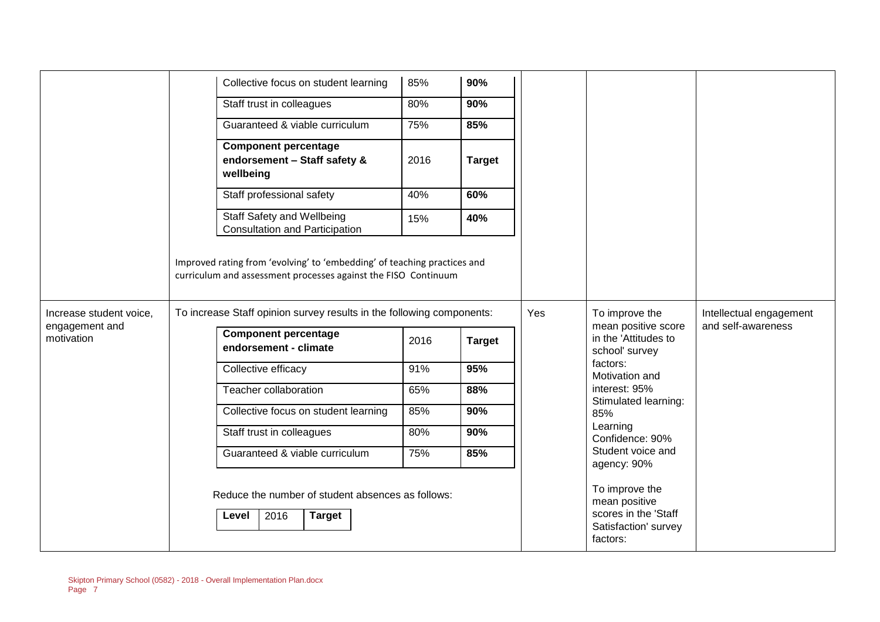|                              |  | Collective focus on student learning                                                                                                                                                                                | 85%  | 90%           |                             |                                                                                             |                         |
|------------------------------|--|---------------------------------------------------------------------------------------------------------------------------------------------------------------------------------------------------------------------|------|---------------|-----------------------------|---------------------------------------------------------------------------------------------|-------------------------|
|                              |  |                                                                                                                                                                                                                     |      |               |                             |                                                                                             |                         |
|                              |  | Staff trust in colleagues                                                                                                                                                                                           | 80%  | 90%           |                             |                                                                                             |                         |
|                              |  | Guaranteed & viable curriculum                                                                                                                                                                                      | 75%  | 85%           |                             |                                                                                             |                         |
|                              |  | <b>Component percentage</b><br>endorsement - Staff safety &<br>wellbeing                                                                                                                                            | 2016 | <b>Target</b> |                             |                                                                                             |                         |
|                              |  | Staff professional safety                                                                                                                                                                                           | 40%  | 60%           |                             |                                                                                             |                         |
|                              |  | Staff Safety and Wellbeing<br><b>Consultation and Participation</b>                                                                                                                                                 | 15%  | 40%           |                             |                                                                                             |                         |
| Increase student voice,      |  | Improved rating from 'evolving' to 'embedding' of teaching practices and<br>curriculum and assessment processes against the FISO Continuum<br>To increase Staff opinion survey results in the following components: |      |               | Yes                         | To improve the                                                                              | Intellectual engagement |
| engagement and<br>motivation |  | <b>Component percentage</b><br>endorsement - climate                                                                                                                                                                |      | <b>Target</b> |                             | mean positive score<br>in the 'Attitudes to<br>school' survey                               | and self-awareness      |
|                              |  | Collective efficacy                                                                                                                                                                                                 | 91%  | 95%           |                             | factors:<br>Motivation and                                                                  |                         |
|                              |  | Teacher collaboration                                                                                                                                                                                               | 65%  | 88%           |                             | interest: 95%                                                                               |                         |
|                              |  | Collective focus on student learning                                                                                                                                                                                | 85%  | 90%           | Stimulated learning:<br>85% |                                                                                             |                         |
|                              |  | Staff trust in colleagues                                                                                                                                                                                           | 80%  | 90%           |                             | Learning<br>Confidence: 90%                                                                 |                         |
|                              |  | Guaranteed & viable curriculum                                                                                                                                                                                      | 75%  | 85%           |                             | Student voice and<br>agency: 90%                                                            |                         |
|                              |  | Reduce the number of student absences as follows:<br><b>Target</b><br>2016<br>Level                                                                                                                                 |      |               |                             | To improve the<br>mean positive<br>scores in the 'Staff<br>Satisfaction' survey<br>factors: |                         |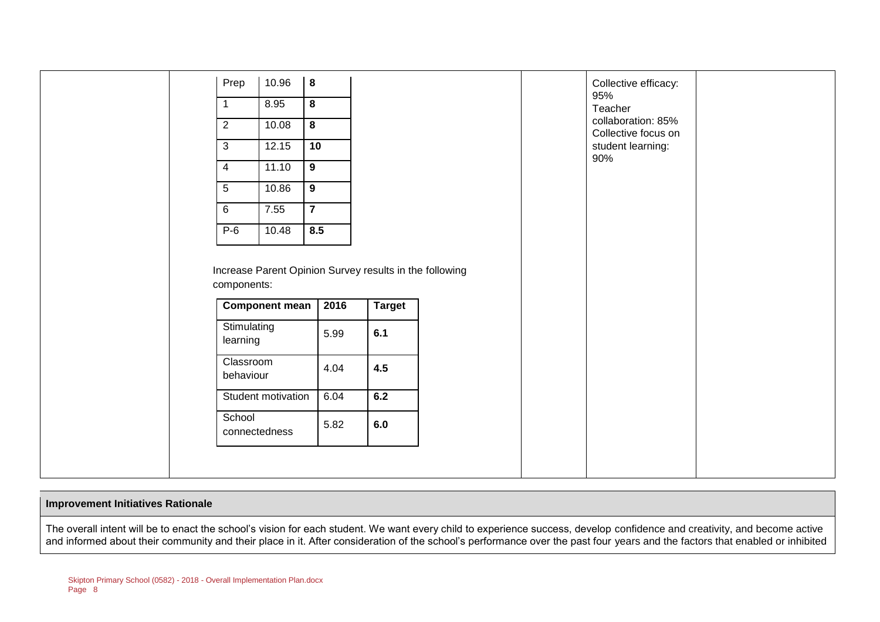| Prep                    | 10.96                 | $\boldsymbol{8}$        |      |                                                                |
|-------------------------|-----------------------|-------------------------|------|----------------------------------------------------------------|
| $\mathbf{1}$            | 8.95                  | $\boldsymbol{8}$        |      |                                                                |
| 2                       | 10.08                 | $\overline{\mathbf{8}}$ |      |                                                                |
| 3                       | 12.15                 | 10                      |      |                                                                |
| $\overline{4}$          | 11.10                 | $\overline{9}$          |      |                                                                |
| $5\phantom{.0}$         | 10.86                 | $\overline{9}$          |      |                                                                |
| 6                       | 7.55                  | $\overline{7}$          |      |                                                                |
| $P-6$                   | 10.48                 | 8.5                     |      |                                                                |
|                         |                       |                         |      |                                                                |
| components:             | <b>Component mean</b> |                         | 2016 |                                                                |
| Stimulating<br>learning |                       |                         | 5.99 | 6.1                                                            |
| Classroom<br>behaviour  |                       |                         | 4.04 | <b>Target</b><br>4.5                                           |
|                         | Student motivation    |                         | 6.04 | Increase Parent Opinion Survey results in the following<br>6.2 |

#### **Improvement Initiatives Rationale**

The overall intent will be to enact the school's vision for each student. We want every child to experience success, develop confidence and creativity, and become active and informed about their community and their place in it. After consideration of the school's performance over the past four years and the factors that enabled or inhibited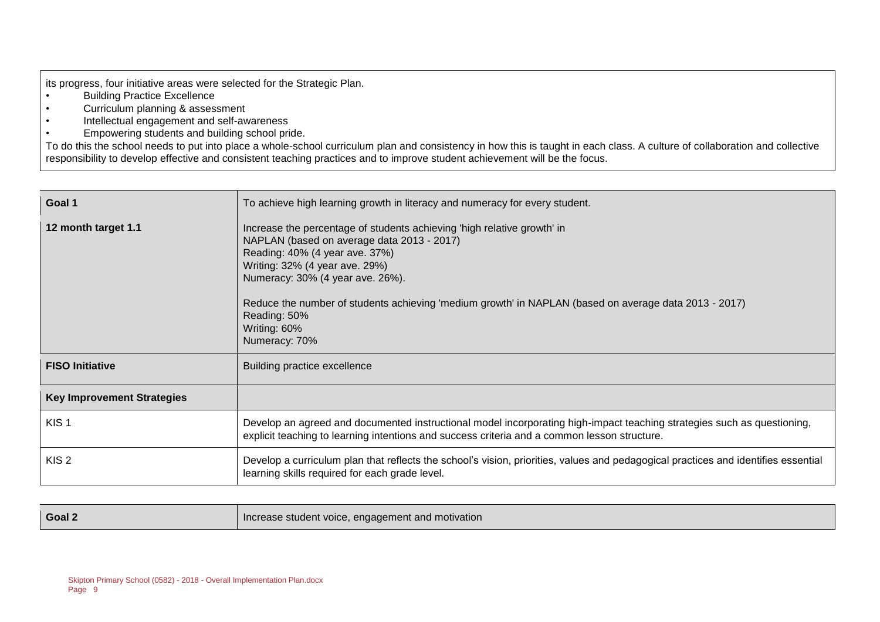its progress, four initiative areas were selected for the Strategic Plan.<br>
. Building Practice Excellence

- **Building Practice Excellence**
- Curriculum planning & assessment
- Intellectual engagement and self-awareness
- Empowering students and building school pride.

To do this the school needs to put into place a whole-school curriculum plan and consistency in how this is taught in each class. A culture of collaboration and collective responsibility to develop effective and consistent teaching practices and to improve student achievement will be the focus.

| Goal 1                            | To achieve high learning growth in literacy and numeracy for every student.                                                                                                                                                                                                                                                                                                             |
|-----------------------------------|-----------------------------------------------------------------------------------------------------------------------------------------------------------------------------------------------------------------------------------------------------------------------------------------------------------------------------------------------------------------------------------------|
| 12 month target 1.1               | Increase the percentage of students achieving 'high relative growth' in<br>NAPLAN (based on average data 2013 - 2017)<br>Reading: 40% (4 year ave. 37%)<br>Writing: 32% (4 year ave. 29%)<br>Numeracy: 30% (4 year ave. 26%).<br>Reduce the number of students achieving 'medium growth' in NAPLAN (based on average data 2013 - 2017)<br>Reading: 50%<br>Writing: 60%<br>Numeracy: 70% |
| <b>FISO Initiative</b>            | Building practice excellence                                                                                                                                                                                                                                                                                                                                                            |
| <b>Key Improvement Strategies</b> |                                                                                                                                                                                                                                                                                                                                                                                         |
| KIS <sub>1</sub>                  | Develop an agreed and documented instructional model incorporating high-impact teaching strategies such as questioning,<br>explicit teaching to learning intentions and success criteria and a common lesson structure.                                                                                                                                                                 |
| KIS <sub>2</sub>                  | Develop a curriculum plan that reflects the school's vision, priorities, values and pedagogical practices and identifies essential<br>learning skills required for each grade level.                                                                                                                                                                                                    |

| Goal 2 | Increase student voice, engagement and motivation |
|--------|---------------------------------------------------|
|--------|---------------------------------------------------|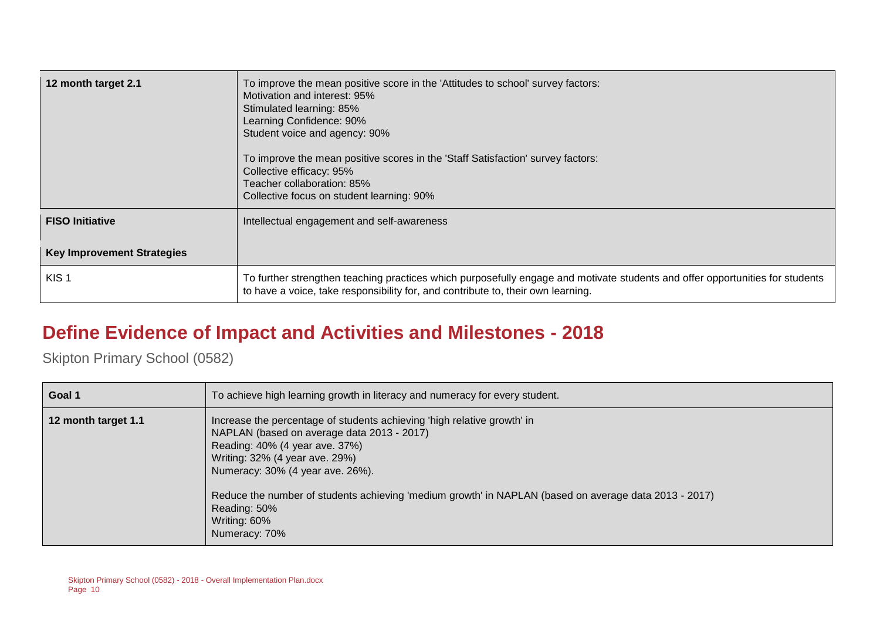| 12 month target 2.1               | To improve the mean positive score in the 'Attitudes to school' survey factors:<br>Motivation and interest: 95%<br>Stimulated learning: 85%<br>Learning Confidence: 90%<br>Student voice and agency: 90%<br>To improve the mean positive scores in the 'Staff Satisfaction' survey factors:<br>Collective efficacy: 95%<br>Teacher collaboration: 85%<br>Collective focus on student learning: 90% |
|-----------------------------------|----------------------------------------------------------------------------------------------------------------------------------------------------------------------------------------------------------------------------------------------------------------------------------------------------------------------------------------------------------------------------------------------------|
| <b>FISO Initiative</b>            | Intellectual engagement and self-awareness                                                                                                                                                                                                                                                                                                                                                         |
| <b>Key Improvement Strategies</b> |                                                                                                                                                                                                                                                                                                                                                                                                    |
| KIS <sub>1</sub>                  | To further strengthen teaching practices which purposefully engage and motivate students and offer opportunities for students<br>to have a voice, take responsibility for, and contribute to, their own learning.                                                                                                                                                                                  |

## **Define Evidence of Impact and Activities and Milestones - 2018**

| Goal 1              | To achieve high learning growth in literacy and numeracy for every student.                                                                                                                                                                                                                                                                                                             |
|---------------------|-----------------------------------------------------------------------------------------------------------------------------------------------------------------------------------------------------------------------------------------------------------------------------------------------------------------------------------------------------------------------------------------|
| 12 month target 1.1 | Increase the percentage of students achieving 'high relative growth' in<br>NAPLAN (based on average data 2013 - 2017)<br>Reading: 40% (4 year ave. 37%)<br>Writing: 32% (4 year ave. 29%)<br>Numeracy: 30% (4 year ave. 26%).<br>Reduce the number of students achieving 'medium growth' in NAPLAN (based on average data 2013 - 2017)<br>Reading: 50%<br>Writing: 60%<br>Numeracy: 70% |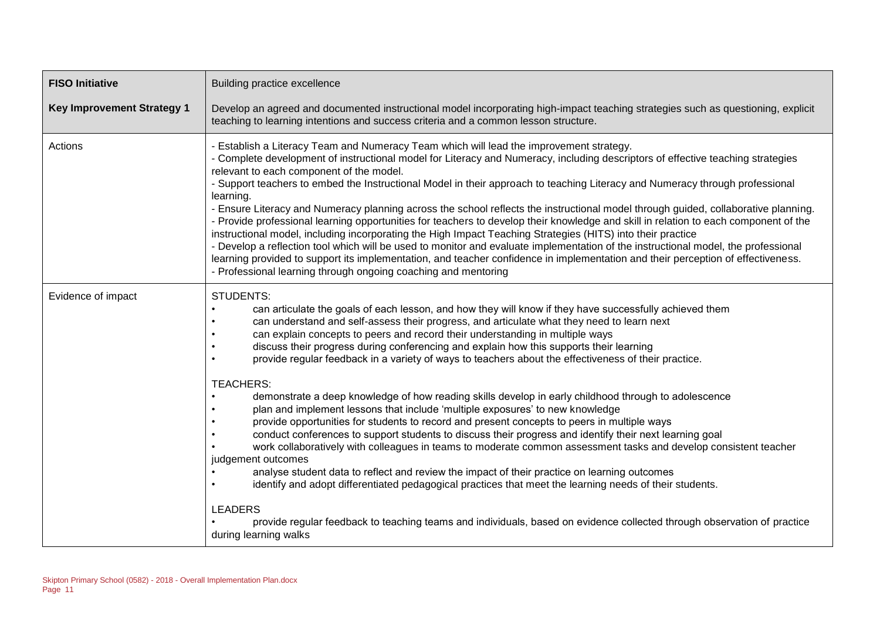| <b>FISO Initiative</b>            | Building practice excellence                                                                                                                                                                                                                                                                                                                                                                                                                                                                                                                                                                                                                                                                                                                                                                                                                                                                                                                                                                                                                                                                                                                                                                                                                                                                                                                                                                                                                                    |  |  |  |  |
|-----------------------------------|-----------------------------------------------------------------------------------------------------------------------------------------------------------------------------------------------------------------------------------------------------------------------------------------------------------------------------------------------------------------------------------------------------------------------------------------------------------------------------------------------------------------------------------------------------------------------------------------------------------------------------------------------------------------------------------------------------------------------------------------------------------------------------------------------------------------------------------------------------------------------------------------------------------------------------------------------------------------------------------------------------------------------------------------------------------------------------------------------------------------------------------------------------------------------------------------------------------------------------------------------------------------------------------------------------------------------------------------------------------------------------------------------------------------------------------------------------------------|--|--|--|--|
| <b>Key Improvement Strategy 1</b> | Develop an agreed and documented instructional model incorporating high-impact teaching strategies such as questioning, explicit<br>teaching to learning intentions and success criteria and a common lesson structure.                                                                                                                                                                                                                                                                                                                                                                                                                                                                                                                                                                                                                                                                                                                                                                                                                                                                                                                                                                                                                                                                                                                                                                                                                                         |  |  |  |  |
| Actions                           | - Establish a Literacy Team and Numeracy Team which will lead the improvement strategy.<br>- Complete development of instructional model for Literacy and Numeracy, including descriptors of effective teaching strategies<br>relevant to each component of the model.<br>- Support teachers to embed the Instructional Model in their approach to teaching Literacy and Numeracy through professional<br>learning.<br>- Ensure Literacy and Numeracy planning across the school reflects the instructional model through guided, collaborative planning.<br>- Provide professional learning opportunities for teachers to develop their knowledge and skill in relation to each component of the<br>instructional model, including incorporating the High Impact Teaching Strategies (HITS) into their practice<br>- Develop a reflection tool which will be used to monitor and evaluate implementation of the instructional model, the professional<br>learning provided to support its implementation, and teacher confidence in implementation and their perception of effectiveness.<br>- Professional learning through ongoing coaching and mentoring                                                                                                                                                                                                                                                                                                    |  |  |  |  |
| Evidence of impact                | <b>STUDENTS:</b><br>can articulate the goals of each lesson, and how they will know if they have successfully achieved them<br>can understand and self-assess their progress, and articulate what they need to learn next<br>can explain concepts to peers and record their understanding in multiple ways<br>discuss their progress during conferencing and explain how this supports their learning<br>provide regular feedback in a variety of ways to teachers about the effectiveness of their practice.<br><b>TEACHERS:</b><br>demonstrate a deep knowledge of how reading skills develop in early childhood through to adolescence<br>plan and implement lessons that include 'multiple exposures' to new knowledge<br>provide opportunities for students to record and present concepts to peers in multiple ways<br>conduct conferences to support students to discuss their progress and identify their next learning goal<br>work collaboratively with colleagues in teams to moderate common assessment tasks and develop consistent teacher<br>judgement outcomes<br>analyse student data to reflect and review the impact of their practice on learning outcomes<br>identify and adopt differentiated pedagogical practices that meet the learning needs of their students.<br><b>LEADERS</b><br>provide regular feedback to teaching teams and individuals, based on evidence collected through observation of practice<br>during learning walks |  |  |  |  |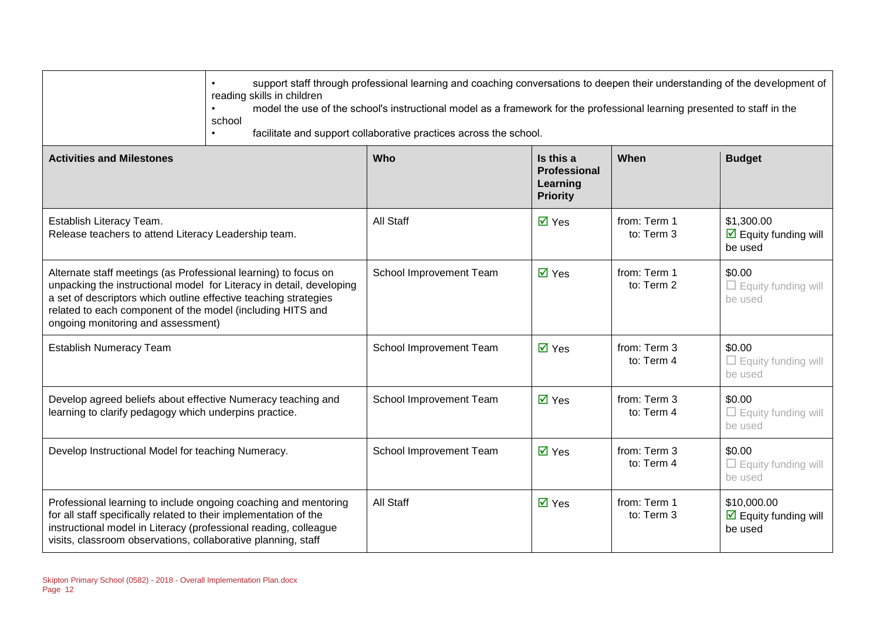|                                                                                                                                                                                                                                                                                                                 | support staff through professional learning and coaching conversations to deepen their understanding of the development of<br>reading skills in children<br>model the use of the school's instructional model as a framework for the professional learning presented to staff in the<br>school<br>facilitate and support collaborative practices across the school. |                         |                                                                 |                            |                                                                       |
|-----------------------------------------------------------------------------------------------------------------------------------------------------------------------------------------------------------------------------------------------------------------------------------------------------------------|---------------------------------------------------------------------------------------------------------------------------------------------------------------------------------------------------------------------------------------------------------------------------------------------------------------------------------------------------------------------|-------------------------|-----------------------------------------------------------------|----------------------------|-----------------------------------------------------------------------|
| <b>Activities and Milestones</b>                                                                                                                                                                                                                                                                                |                                                                                                                                                                                                                                                                                                                                                                     | <b>Who</b>              | Is this a<br><b>Professional</b><br>Learning<br><b>Priority</b> | When                       | <b>Budget</b>                                                         |
| Establish Literacy Team.<br>Release teachers to attend Literacy Leadership team.                                                                                                                                                                                                                                |                                                                                                                                                                                                                                                                                                                                                                     | All Staff               | $\overline{M}$ Yes                                              | from: Term 1<br>to: Term 3 | \$1,300.00<br>$\overline{\mathbf{M}}$ Equity funding will<br>be used  |
| Alternate staff meetings (as Professional learning) to focus on<br>unpacking the instructional model for Literacy in detail, developing<br>a set of descriptors which outline effective teaching strategies<br>related to each component of the model (including HITS and<br>ongoing monitoring and assessment) |                                                                                                                                                                                                                                                                                                                                                                     | School Improvement Team | $\overline{M}$ Yes                                              | from: Term 1<br>to: Term 2 | \$0.00<br>$\Box$ Equity funding will<br>be used                       |
| <b>Establish Numeracy Team</b>                                                                                                                                                                                                                                                                                  |                                                                                                                                                                                                                                                                                                                                                                     | School Improvement Team | $\overline{M}$ Yes                                              | from: Term 3<br>to: Term 4 | \$0.00<br>$\Box$ Equity funding will<br>be used                       |
| Develop agreed beliefs about effective Numeracy teaching and<br>learning to clarify pedagogy which underpins practice.                                                                                                                                                                                          |                                                                                                                                                                                                                                                                                                                                                                     | School Improvement Team | $\overline{\blacksquare}$ Yes                                   | from: Term 3<br>to: Term 4 | \$0.00<br>$\Box$ Equity funding will<br>be used                       |
| Develop Instructional Model for teaching Numeracy.                                                                                                                                                                                                                                                              |                                                                                                                                                                                                                                                                                                                                                                     | School Improvement Team | $\overline{\blacksquare}$ Yes                                   | from: Term 3<br>to: Term 4 | \$0.00<br>$\Box$ Equity funding will<br>be used                       |
| Professional learning to include ongoing coaching and mentoring<br>for all staff specifically related to their implementation of the<br>instructional model in Literacy (professional reading, colleague<br>visits, classroom observations, collaborative planning, staff                                       |                                                                                                                                                                                                                                                                                                                                                                     | All Staff               | $\overline{\blacksquare}$ Yes                                   | from: Term 1<br>to: Term 3 | \$10,000.00<br>$\overline{\mathbf{M}}$ Equity funding will<br>be used |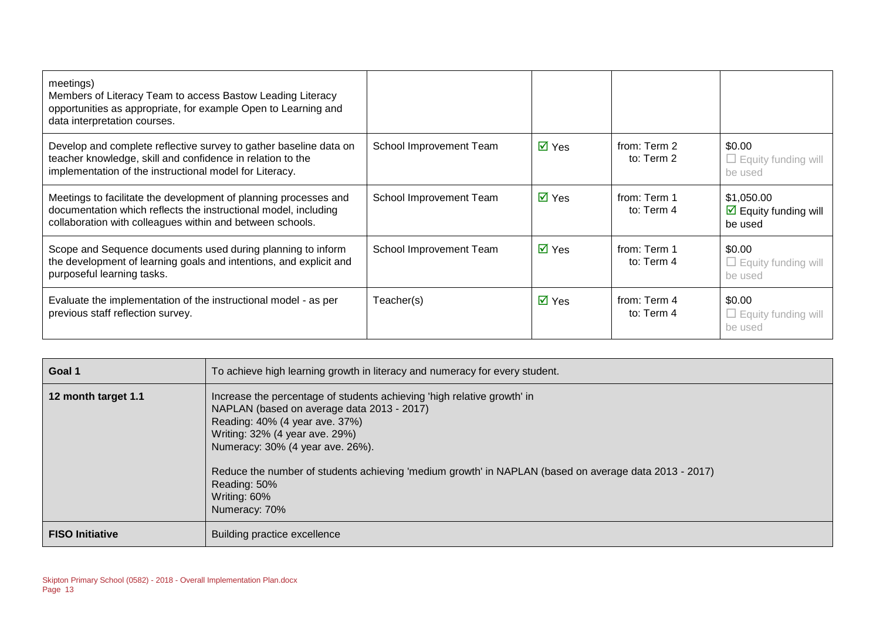| meetings)<br>Members of Literacy Team to access Bastow Leading Literacy<br>opportunities as appropriate, for example Open to Learning and<br>data interpretation courses.                        |                         |                             |                            |                                                                      |
|--------------------------------------------------------------------------------------------------------------------------------------------------------------------------------------------------|-------------------------|-----------------------------|----------------------------|----------------------------------------------------------------------|
| Develop and complete reflective survey to gather baseline data on<br>teacher knowledge, skill and confidence in relation to the<br>implementation of the instructional model for Literacy.       | School Improvement Team | $\overline{\mathsf{M}}$ Yes | from: Term 2<br>to: Term 2 | \$0.00<br>$\Box$ Equity funding will<br>be used                      |
| Meetings to facilitate the development of planning processes and<br>documentation which reflects the instructional model, including<br>collaboration with colleagues within and between schools. | School Improvement Team | $\overline{\mathsf{M}}$ Yes | from: Term 1<br>to: Term 4 | \$1,050.00<br>$\overline{\mathbf{y}}$ Equity funding will<br>be used |
| Scope and Sequence documents used during planning to inform<br>the development of learning goals and intentions, and explicit and<br>purposeful learning tasks.                                  | School Improvement Team | $\overline{\mathsf{M}}$ Yes | from: Term 1<br>to: Term 4 | \$0.00<br>$\Box$ Equity funding will<br>be used                      |
| Evaluate the implementation of the instructional model - as per<br>previous staff reflection survey.                                                                                             | Teacher(s)              | $\overline{M}$ Yes          | from: Term 4<br>to: Term 4 | \$0.00<br>$\Box$ Equity funding will<br>be used                      |

| Goal 1                 | To achieve high learning growth in literacy and numeracy for every student.                                                                                                                                                                                                                                                                                                             |
|------------------------|-----------------------------------------------------------------------------------------------------------------------------------------------------------------------------------------------------------------------------------------------------------------------------------------------------------------------------------------------------------------------------------------|
| 12 month target 1.1    | Increase the percentage of students achieving 'high relative growth' in<br>NAPLAN (based on average data 2013 - 2017)<br>Reading: 40% (4 year ave. 37%)<br>Writing: 32% (4 year ave. 29%)<br>Numeracy: 30% (4 year ave. 26%).<br>Reduce the number of students achieving 'medium growth' in NAPLAN (based on average data 2013 - 2017)<br>Reading: 50%<br>Writing: 60%<br>Numeracy: 70% |
| <b>FISO Initiative</b> | Building practice excellence                                                                                                                                                                                                                                                                                                                                                            |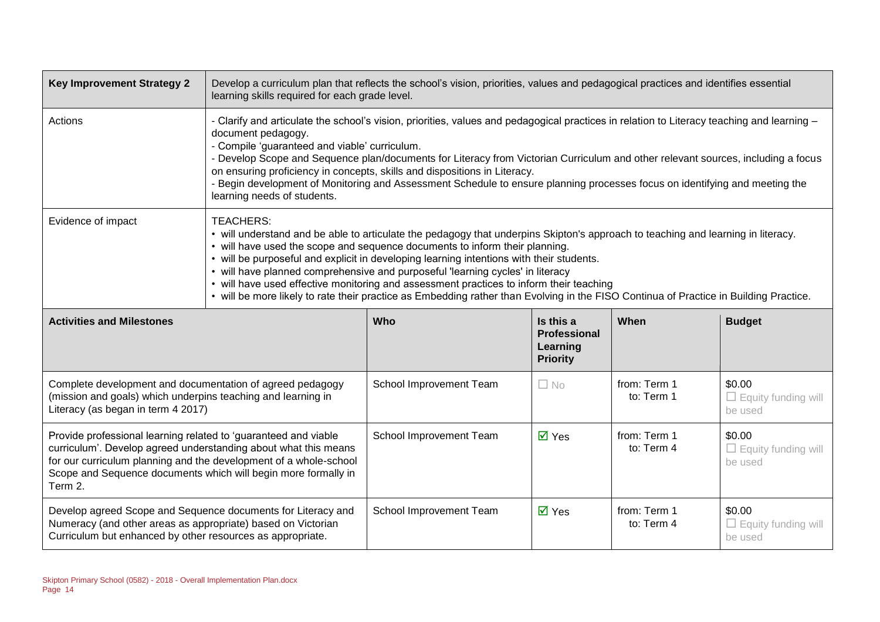| <b>Key Improvement Strategy 2</b>                                                                                                                                                                                                                                                    | Develop a curriculum plan that reflects the school's vision, priorities, values and pedagogical practices and identifies essential<br>learning skills required for each grade level.                                                                                                                                                                                                                                                                                                                                                                                                                                                                  |                         |                                                                 |                            |                                                 |
|--------------------------------------------------------------------------------------------------------------------------------------------------------------------------------------------------------------------------------------------------------------------------------------|-------------------------------------------------------------------------------------------------------------------------------------------------------------------------------------------------------------------------------------------------------------------------------------------------------------------------------------------------------------------------------------------------------------------------------------------------------------------------------------------------------------------------------------------------------------------------------------------------------------------------------------------------------|-------------------------|-----------------------------------------------------------------|----------------------------|-------------------------------------------------|
| Actions                                                                                                                                                                                                                                                                              | - Clarify and articulate the school's vision, priorities, values and pedagogical practices in relation to Literacy teaching and learning -<br>document pedagogy.<br>- Compile 'guaranteed and viable' curriculum.<br>- Develop Scope and Sequence plan/documents for Literacy from Victorian Curriculum and other relevant sources, including a focus<br>on ensuring proficiency in concepts, skills and dispositions in Literacy.<br>- Begin development of Monitoring and Assessment Schedule to ensure planning processes focus on identifying and meeting the<br>learning needs of students.                                                      |                         |                                                                 |                            |                                                 |
| Evidence of impact                                                                                                                                                                                                                                                                   | <b>TEACHERS:</b><br>• will understand and be able to articulate the pedagogy that underpins Skipton's approach to teaching and learning in literacy.<br>• will have used the scope and sequence documents to inform their planning.<br>• will be purposeful and explicit in developing learning intentions with their students.<br>• will have planned comprehensive and purposeful 'learning cycles' in literacy<br>• will have used effective monitoring and assessment practices to inform their teaching<br>• will be more likely to rate their practice as Embedding rather than Evolving in the FISO Continua of Practice in Building Practice. |                         |                                                                 |                            |                                                 |
| <b>Activities and Milestones</b>                                                                                                                                                                                                                                                     |                                                                                                                                                                                                                                                                                                                                                                                                                                                                                                                                                                                                                                                       | Who                     | Is this a<br><b>Professional</b><br>Learning<br><b>Priority</b> | When                       | <b>Budget</b>                                   |
| Complete development and documentation of agreed pedagogy<br>(mission and goals) which underpins teaching and learning in<br>Literacy (as began in term 4 2017)                                                                                                                      |                                                                                                                                                                                                                                                                                                                                                                                                                                                                                                                                                                                                                                                       | School Improvement Team | $\Box$ No                                                       | from: Term 1<br>to: Term 1 | \$0.00<br>$\Box$ Equity funding will<br>be used |
| Provide professional learning related to 'guaranteed and viable<br>curriculum'. Develop agreed understanding about what this means<br>for our curriculum planning and the development of a whole-school<br>Scope and Sequence documents which will begin more formally in<br>Term 2. |                                                                                                                                                                                                                                                                                                                                                                                                                                                                                                                                                                                                                                                       | School Improvement Team | $\overline{\mathsf{M}}$ Yes                                     | from: Term 1<br>to: Term 4 | \$0.00<br>$\Box$ Equity funding will<br>be used |
| Develop agreed Scope and Sequence documents for Literacy and<br>Numeracy (and other areas as appropriate) based on Victorian<br>Curriculum but enhanced by other resources as appropriate.                                                                                           |                                                                                                                                                                                                                                                                                                                                                                                                                                                                                                                                                                                                                                                       | School Improvement Team | $\overline{M}$ Yes                                              | from: Term 1<br>to: Term 4 | \$0.00<br>$\Box$ Equity funding will<br>be used |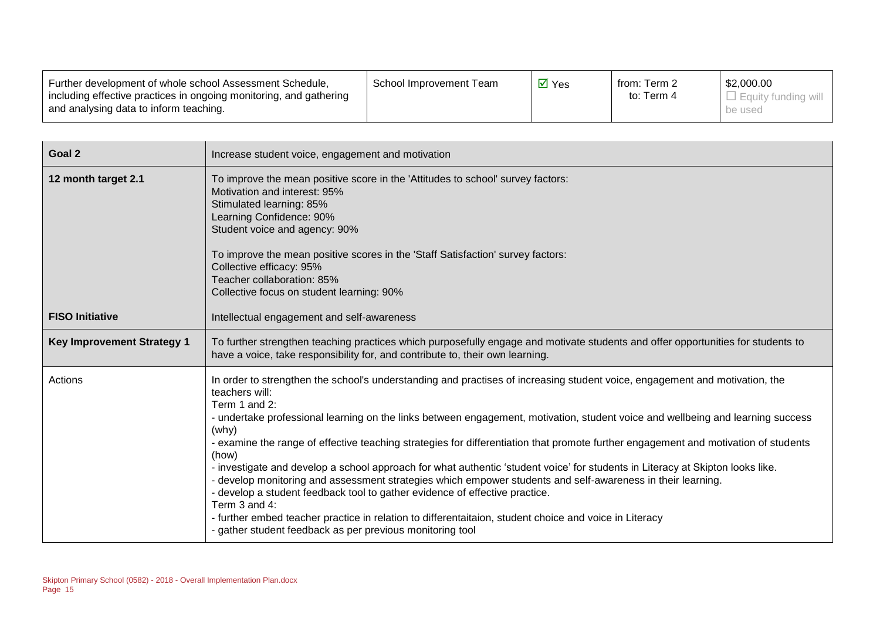| Further development of whole school Assessment Schedule,<br>including effective practices in ongoing monitoring, and gathering | School Improvement Team | $\overline{\mathsf{M}}$ Yes | from: Term 2<br>to: Term 4 | \$2,000.00<br>l Eauity fundina will |
|--------------------------------------------------------------------------------------------------------------------------------|-------------------------|-----------------------------|----------------------------|-------------------------------------|
| and analysing data to inform teaching.                                                                                         |                         |                             |                            | be used                             |

| Goal 2                            | Increase student voice, engagement and motivation                                                                                                                                                                                                                                                                                                                                                                                                                                                                                                                                                                                                                                                                                                                                                                                                                                                                                                                                  |
|-----------------------------------|------------------------------------------------------------------------------------------------------------------------------------------------------------------------------------------------------------------------------------------------------------------------------------------------------------------------------------------------------------------------------------------------------------------------------------------------------------------------------------------------------------------------------------------------------------------------------------------------------------------------------------------------------------------------------------------------------------------------------------------------------------------------------------------------------------------------------------------------------------------------------------------------------------------------------------------------------------------------------------|
| 12 month target 2.1               | To improve the mean positive score in the 'Attitudes to school' survey factors:<br>Motivation and interest: 95%<br>Stimulated learning: 85%<br>Learning Confidence: 90%<br>Student voice and agency: 90%<br>To improve the mean positive scores in the 'Staff Satisfaction' survey factors:<br>Collective efficacy: 95%<br>Teacher collaboration: 85%<br>Collective focus on student learning: 90%                                                                                                                                                                                                                                                                                                                                                                                                                                                                                                                                                                                 |
| <b>FISO Initiative</b>            | Intellectual engagement and self-awareness                                                                                                                                                                                                                                                                                                                                                                                                                                                                                                                                                                                                                                                                                                                                                                                                                                                                                                                                         |
| <b>Key Improvement Strategy 1</b> | To further strengthen teaching practices which purposefully engage and motivate students and offer opportunities for students to<br>have a voice, take responsibility for, and contribute to, their own learning.                                                                                                                                                                                                                                                                                                                                                                                                                                                                                                                                                                                                                                                                                                                                                                  |
| Actions                           | In order to strengthen the school's understanding and practises of increasing student voice, engagement and motivation, the<br>teachers will:<br>Term 1 and 2:<br>- undertake professional learning on the links between engagement, motivation, student voice and wellbeing and learning success<br>(why)<br>- examine the range of effective teaching strategies for differentiation that promote further engagement and motivation of students<br>(how)<br>- investigate and develop a school approach for what authentic 'student voice' for students in Literacy at Skipton looks like.<br>- develop monitoring and assessment strategies which empower students and self-awareness in their learning.<br>- develop a student feedback tool to gather evidence of effective practice.<br>Term 3 and 4:<br>- further embed teacher practice in relation to differentaitaion, student choice and voice in Literacy<br>- gather student feedback as per previous monitoring tool |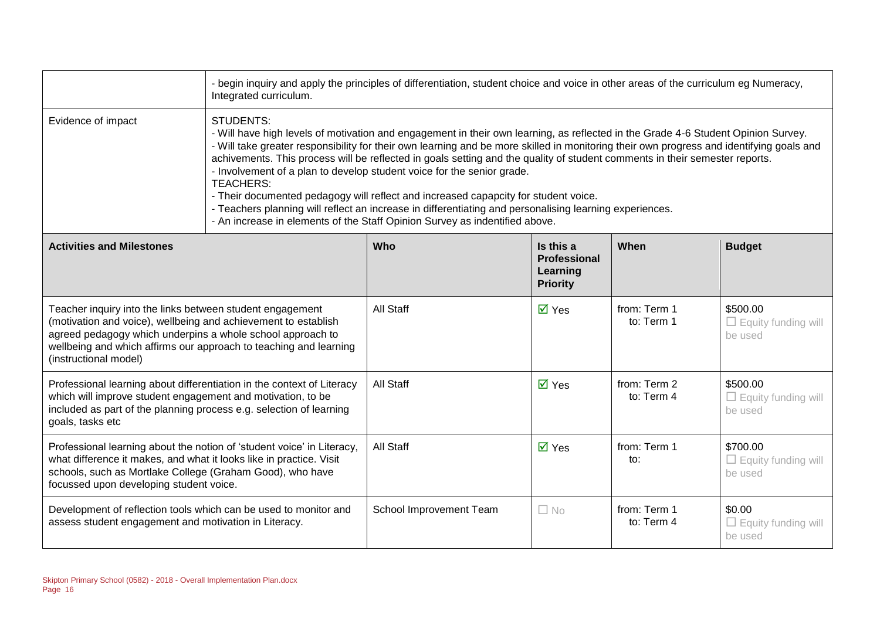|                                                                                                                                                                                                                                                                                         | - begin inquiry and apply the principles of differentiation, student choice and voice in other areas of the curriculum eg Numeracy,<br>Integrated curriculum.                                                                                                                                                                                                                                                                                                                                                                                                                                                                                                                                                                                                                                                   |                         |                                                          |                            |                                                   |
|-----------------------------------------------------------------------------------------------------------------------------------------------------------------------------------------------------------------------------------------------------------------------------------------|-----------------------------------------------------------------------------------------------------------------------------------------------------------------------------------------------------------------------------------------------------------------------------------------------------------------------------------------------------------------------------------------------------------------------------------------------------------------------------------------------------------------------------------------------------------------------------------------------------------------------------------------------------------------------------------------------------------------------------------------------------------------------------------------------------------------|-------------------------|----------------------------------------------------------|----------------------------|---------------------------------------------------|
| Evidence of impact                                                                                                                                                                                                                                                                      | <b>STUDENTS:</b><br>- Will have high levels of motivation and engagement in their own learning, as reflected in the Grade 4-6 Student Opinion Survey.<br>- Will take greater responsibility for their own learning and be more skilled in monitoring their own progress and identifying goals and<br>achivements. This process will be reflected in goals setting and the quality of student comments in their semester reports.<br>- Involvement of a plan to develop student voice for the senior grade.<br><b>TEACHERS:</b><br>- Their documented pedagogy will reflect and increased capapcity for student voice.<br>- Teachers planning will reflect an increase in differentiating and personalising learning experiences.<br>- An increase in elements of the Staff Opinion Survey as indentified above. |                         |                                                          |                            |                                                   |
| <b>Activities and Milestones</b>                                                                                                                                                                                                                                                        |                                                                                                                                                                                                                                                                                                                                                                                                                                                                                                                                                                                                                                                                                                                                                                                                                 | Who                     | Is this a<br>Professional<br>Learning<br><b>Priority</b> | When                       | <b>Budget</b>                                     |
| Teacher inquiry into the links between student engagement<br>(motivation and voice), wellbeing and achievement to establish<br>agreed pedagogy which underpins a whole school approach to<br>wellbeing and which affirms our approach to teaching and learning<br>(instructional model) |                                                                                                                                                                                                                                                                                                                                                                                                                                                                                                                                                                                                                                                                                                                                                                                                                 | <b>All Staff</b>        | $\overline{\mathsf{M}}$ Yes                              | from: Term 1<br>to: Term 1 | \$500.00<br>$\Box$ Equity funding will<br>be used |
| Professional learning about differentiation in the context of Literacy<br>which will improve student engagement and motivation, to be<br>included as part of the planning process e.g. selection of learning<br>goals, tasks etc                                                        |                                                                                                                                                                                                                                                                                                                                                                                                                                                                                                                                                                                                                                                                                                                                                                                                                 | All Staff               | $\overline{\mathsf{M}}$ Yes                              | from: Term 2<br>to: Term 4 | \$500.00<br>$\Box$ Equity funding will<br>be used |
| Professional learning about the notion of 'student voice' in Literacy,<br>what difference it makes, and what it looks like in practice. Visit<br>schools, such as Mortlake College (Graham Good), who have<br>focussed upon developing student voice.                                   |                                                                                                                                                                                                                                                                                                                                                                                                                                                                                                                                                                                                                                                                                                                                                                                                                 | All Staff               | $\overline{\mathsf{M}}$ Yes                              | from: Term 1<br>to:        | \$700.00<br>$\Box$ Equity funding will<br>be used |
| Development of reflection tools which can be used to monitor and<br>assess student engagement and motivation in Literacy.                                                                                                                                                               |                                                                                                                                                                                                                                                                                                                                                                                                                                                                                                                                                                                                                                                                                                                                                                                                                 | School Improvement Team | $\Box$ No                                                | from: Term 1<br>to: Term 4 | \$0.00<br>$\Box$ Equity funding will<br>be used   |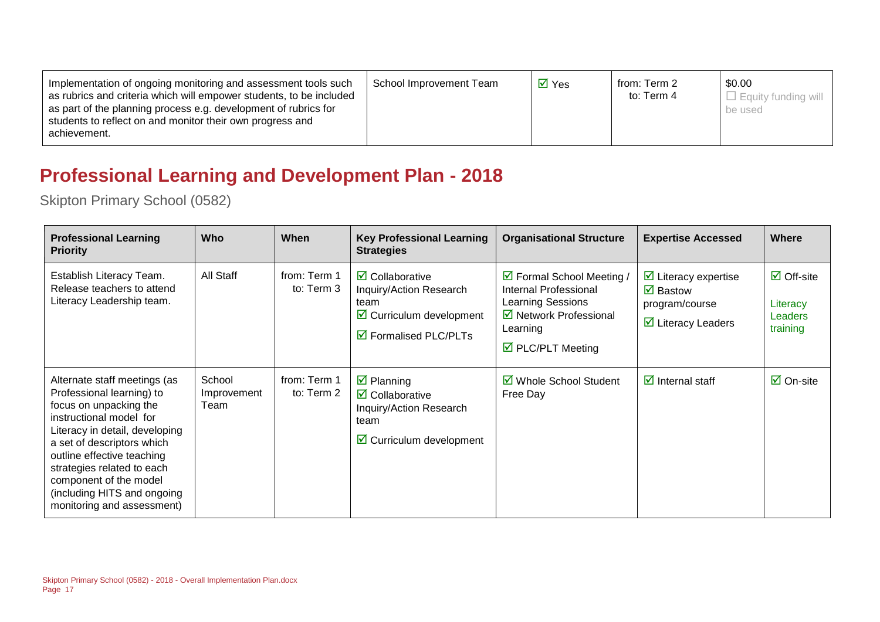## **Professional Learning and Development Plan - 2018**

| <b>Professional Learning</b><br><b>Priority</b>                                                                                                                                                                                                                                                                                   | <b>Who</b>                    | When                       | <b>Key Professional Learning</b><br><b>Strategies</b>                                                                                                              | <b>Organisational Structure</b>                                                                                                                   | <b>Expertise Accessed</b>                                                                                                           | <b>Where</b>                                                 |
|-----------------------------------------------------------------------------------------------------------------------------------------------------------------------------------------------------------------------------------------------------------------------------------------------------------------------------------|-------------------------------|----------------------------|--------------------------------------------------------------------------------------------------------------------------------------------------------------------|---------------------------------------------------------------------------------------------------------------------------------------------------|-------------------------------------------------------------------------------------------------------------------------------------|--------------------------------------------------------------|
| Establish Literacy Team.<br>Release teachers to attend<br>Literacy Leadership team.                                                                                                                                                                                                                                               | All Staff                     | from: Term 1<br>to: Term 3 | $\overline{\mathbf{z}}$ Collaborative<br>Inquiry/Action Research<br>team<br>$\triangleright$ Curriculum development<br>$\overline{\mathbf{M}}$ Formalised PLC/PLTs | ☑ Formal School Meeting /<br>Internal Professional<br>Learning Sessions<br>☑ Network Professional<br>Learning<br>$\triangleright$ PLC/PLT Meeting | $\triangleright$ Literacy expertise<br>$\overline{\mathbf{M}}$ Bastow<br>program/course<br>$\overline{\mathbf{y}}$ Literacy Leaders | $\boxdot$ Off-site<br>Literacy<br><b>Leaders</b><br>training |
| Alternate staff meetings (as<br>Professional learning) to<br>focus on unpacking the<br>instructional model for<br>Literacy in detail, developing<br>a set of descriptors which<br>outline effective teaching<br>strategies related to each<br>component of the model<br>(including HITS and ongoing<br>monitoring and assessment) | School<br>Improvement<br>Team | from: Term 1<br>to: Term 2 | $\triangleright$ Planning<br>$\overline{\mathbf{Z}}$ Collaborative<br>Inquiry/Action Research<br>team<br>$\boxdot$ Curriculum development                          | ■ Whole School Student<br>Free Day                                                                                                                | $\overline{\mathbf{y}}$ Internal staff                                                                                              | $\overline{\mathsf{M}}$ On-site                              |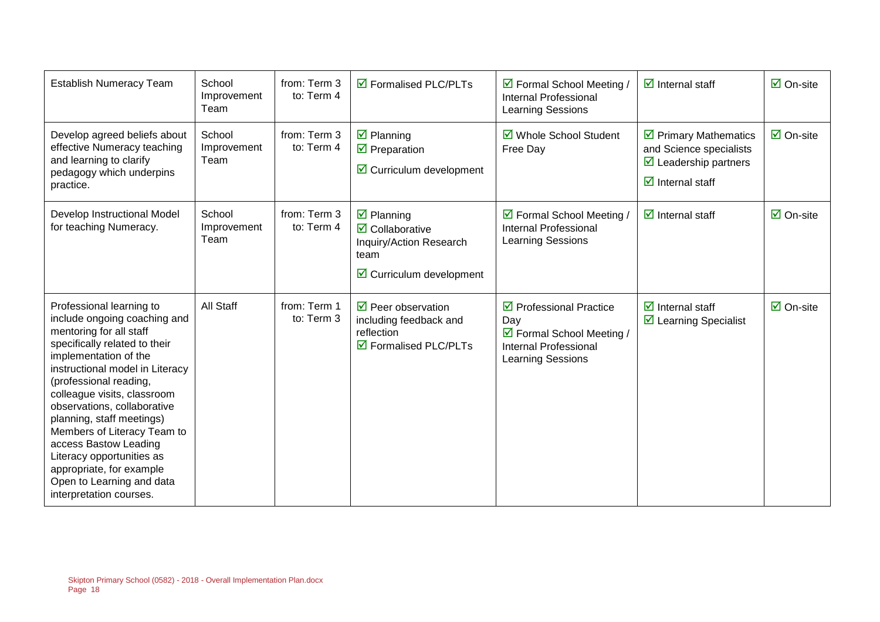| <b>Establish Numeracy Team</b>                                                                                                                                                                                                                                                                                                                                                                                                                                                 | School<br>Improvement<br>Team | from: Term 3<br>to: Term 4 | $\overline{\mathsf{M}}$ Formalised PLC/PLTs                                                                                            | ☑ Formal School Meeting /<br><b>Internal Professional</b><br>Learning Sessions                                                  | $\overline{\mathbf{z}}$ Internal staff                                                                                                            | $\overline{\boxtimes}$ On-site  |
|--------------------------------------------------------------------------------------------------------------------------------------------------------------------------------------------------------------------------------------------------------------------------------------------------------------------------------------------------------------------------------------------------------------------------------------------------------------------------------|-------------------------------|----------------------------|----------------------------------------------------------------------------------------------------------------------------------------|---------------------------------------------------------------------------------------------------------------------------------|---------------------------------------------------------------------------------------------------------------------------------------------------|---------------------------------|
| Develop agreed beliefs about<br>effective Numeracy teaching<br>and learning to clarify<br>pedagogy which underpins<br>practice.                                                                                                                                                                                                                                                                                                                                                | School<br>Improvement<br>Team | from: Term 3<br>to: Term 4 | $\boxtimes$ Planning<br>$\overline{\mathbf{y}}$ Preparation<br>$\boxtimes$ Curriculum development                                      | ☑ Whole School Student<br>Free Day                                                                                              | $\triangleright$ Primary Mathematics<br>and Science specialists<br>$\triangleright$ Leadership partners<br>$\overline{\mathbf{z}}$ Internal staff | $\overline{\mathsf{M}}$ On-site |
| Develop Instructional Model<br>for teaching Numeracy.                                                                                                                                                                                                                                                                                                                                                                                                                          | School<br>Improvement<br>Team | from: Term 3<br>to: Term 4 | $\boxtimes$ Planning<br>$\overline{\mathbf{Z}}$ Collaborative<br>Inquiry/Action Research<br>team<br>$\boxtimes$ Curriculum development | ☑ Formal School Meeting /<br>Internal Professional<br><b>Learning Sessions</b>                                                  | $\overline{\mathbf{y}}$ Internal staff                                                                                                            | $\boxdot$ On-site               |
| Professional learning to<br>include ongoing coaching and<br>mentoring for all staff<br>specifically related to their<br>implementation of the<br>instructional model in Literacy<br>(professional reading,<br>colleague visits, classroom<br>observations, collaborative<br>planning, staff meetings)<br>Members of Literacy Team to<br>access Bastow Leading<br>Literacy opportunities as<br>appropriate, for example<br>Open to Learning and data<br>interpretation courses. | All Staff                     | from: Term 1<br>to: Term 3 | $\triangledown$ Peer observation<br>including feedback and<br>reflection<br>$\overline{\mathbf{M}}$ Formalised PLC/PLTs                | $\triangleright$ Professional Practice<br>Day<br>☑ Formal School Meeting /<br><b>Internal Professional</b><br>Learning Sessions | $\overline{\mathbf{M}}$ Internal staff<br>$\triangleright$ Learning Specialist                                                                    | $\boxtimes$ On-site             |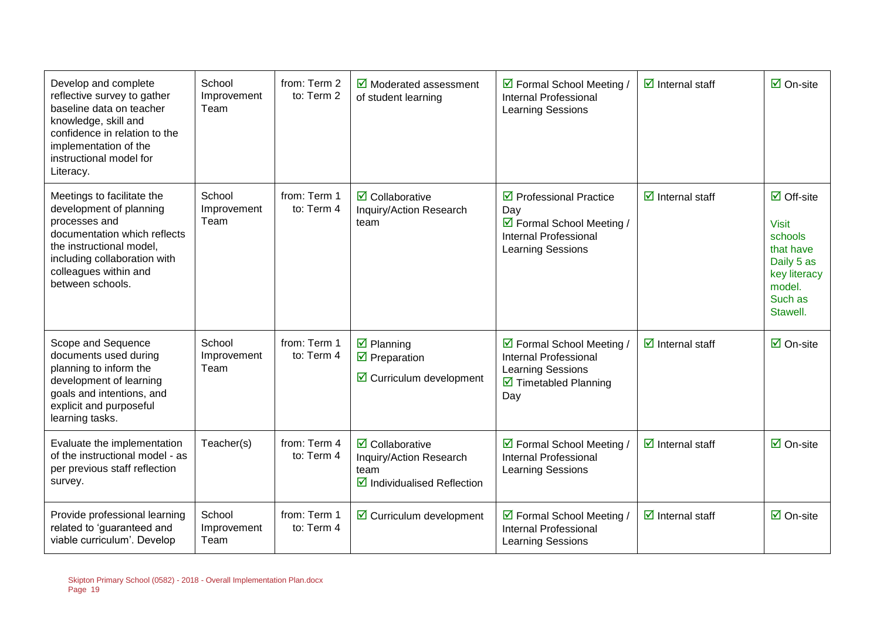| Develop and complete<br>reflective survey to gather<br>baseline data on teacher<br>knowledge, skill and<br>confidence in relation to the<br>implementation of the<br>instructional model for<br>Literacy.       | School<br>Improvement<br>Team | from: Term 2<br>to: Term 2 | $\boxtimes$ Moderated assessment<br>of student learning                                                           | ☑ Formal School Meeting /<br><b>Internal Professional</b><br>Learning Sessions                                                 | $\overline{\mathbf{z}}$ Internal staff | $\overline{\mathsf{M}}$ On-site                                                                                           |
|-----------------------------------------------------------------------------------------------------------------------------------------------------------------------------------------------------------------|-------------------------------|----------------------------|-------------------------------------------------------------------------------------------------------------------|--------------------------------------------------------------------------------------------------------------------------------|----------------------------------------|---------------------------------------------------------------------------------------------------------------------------|
| Meetings to facilitate the<br>development of planning<br>processes and<br>documentation which reflects<br>the instructional model,<br>including collaboration with<br>colleagues within and<br>between schools. | School<br>Improvement<br>Team | from: Term 1<br>to: Term 4 | $\boxdot$ Collaborative<br>Inquiry/Action Research<br>team                                                        | $\triangledown$ Professional Practice<br>Day<br>☑ Formal School Meeting /<br><b>Internal Professional</b><br>Learning Sessions | $\overline{\mathbf{M}}$ Internal staff | $\boxdot$ Off-site<br><b>Visit</b><br>schools<br>that have<br>Daily 5 as<br>key literacy<br>model.<br>Such as<br>Stawell. |
| Scope and Sequence<br>documents used during<br>planning to inform the<br>development of learning<br>goals and intentions, and<br>explicit and purposeful<br>learning tasks.                                     | School<br>Improvement<br>Team | from: Term 1<br>to: Term 4 | $\boxtimes$ Planning<br>$\overline{\mathbf{y}}$ Preparation<br>$\boxtimes$ Curriculum development                 | ☑ Formal School Meeting /<br><b>Internal Professional</b><br>Learning Sessions<br>$\triangleright$ Timetabled Planning<br>Day  | $\overline{\mathbf{z}}$ Internal staff | $\overline{\boxtimes}$ On-site                                                                                            |
| Evaluate the implementation<br>of the instructional model - as<br>per previous staff reflection<br>survey.                                                                                                      | Teacher(s)                    | from: Term 4<br>to: Term 4 | $\overline{\mathbf{z}}$ Collaborative<br>Inquiry/Action Research<br>team<br>$\boxtimes$ Individualised Reflection | ☑ Formal School Meeting /<br><b>Internal Professional</b><br><b>Learning Sessions</b>                                          | $\overline{\mathbf{z}}$ Internal staff | $\overline{\Box}$ On-site                                                                                                 |
| Provide professional learning<br>related to 'guaranteed and<br>viable curriculum'. Develop                                                                                                                      | School<br>Improvement<br>Team | from: Term 1<br>to: Term 4 | $\boxtimes$ Curriculum development                                                                                | ☑ Formal School Meeting /<br><b>Internal Professional</b><br>Learning Sessions                                                 | $\overline{\mathbf{z}}$ Internal staff | $\overline{\Box}$ On-site                                                                                                 |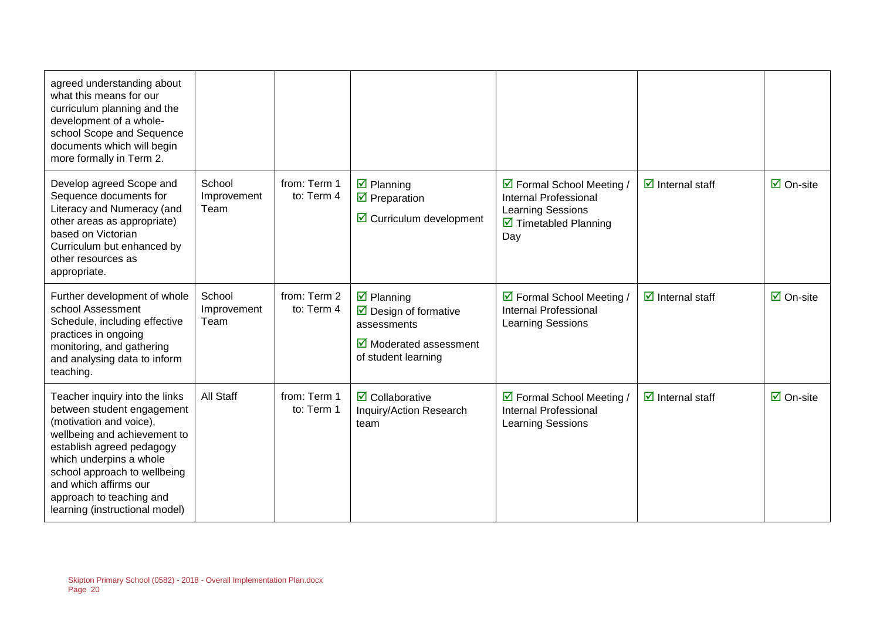| agreed understanding about<br>what this means for our<br>curriculum planning and the<br>development of a whole-<br>school Scope and Sequence<br>documents which will begin<br>more formally in Term 2.                                                                                                 |                               |                            |                                                                                                                                                                |                                                                                                                                             |                                        |                                 |
|--------------------------------------------------------------------------------------------------------------------------------------------------------------------------------------------------------------------------------------------------------------------------------------------------------|-------------------------------|----------------------------|----------------------------------------------------------------------------------------------------------------------------------------------------------------|---------------------------------------------------------------------------------------------------------------------------------------------|----------------------------------------|---------------------------------|
| Develop agreed Scope and<br>Sequence documents for<br>Literacy and Numeracy (and<br>other areas as appropriate)<br>based on Victorian<br>Curriculum but enhanced by<br>other resources as<br>appropriate.                                                                                              | School<br>Improvement<br>Team | from: Term 1<br>to: Term 4 | $\boxtimes$ Planning<br>$\triangledown$ Preparation<br>$\boxtimes$ Curriculum development                                                                      | ☑ Formal School Meeting /<br><b>Internal Professional</b><br><b>Learning Sessions</b><br>$\overline{\mathbf{2}}$ Timetabled Planning<br>Day | $\overline{\mathbf{z}}$ Internal staff | $\overline{\mathsf{M}}$ On-site |
| Further development of whole<br>school Assessment<br>Schedule, including effective<br>practices in ongoing<br>monitoring, and gathering<br>and analysing data to inform<br>teaching.                                                                                                                   | School<br>Improvement<br>Team | from: Term 2<br>to: Term 4 | $\overline{\mathbf{y}}$ Planning<br>$\triangleright$ Design of formative<br>assessments<br>$\overline{\mathbf{M}}$ Moderated assessment<br>of student learning | ☑ Formal School Meeting /<br><b>Internal Professional</b><br><b>Learning Sessions</b>                                                       | $\overline{\mathbf{z}}$ Internal staff | $\overline{\Box}$ On-site       |
| Teacher inquiry into the links<br>between student engagement<br>(motivation and voice),<br>wellbeing and achievement to<br>establish agreed pedagogy<br>which underpins a whole<br>school approach to wellbeing<br>and which affirms our<br>approach to teaching and<br>learning (instructional model) | <b>All Staff</b>              | from: Term 1<br>to: Term 1 | $\overline{\mathbf{z}}$ Collaborative<br>Inquiry/Action Research<br>team                                                                                       | ☑ Formal School Meeting /<br><b>Internal Professional</b><br><b>Learning Sessions</b>                                                       | $\overline{\mathbf{z}}$ Internal staff | $\overline{\Box}$ On-site       |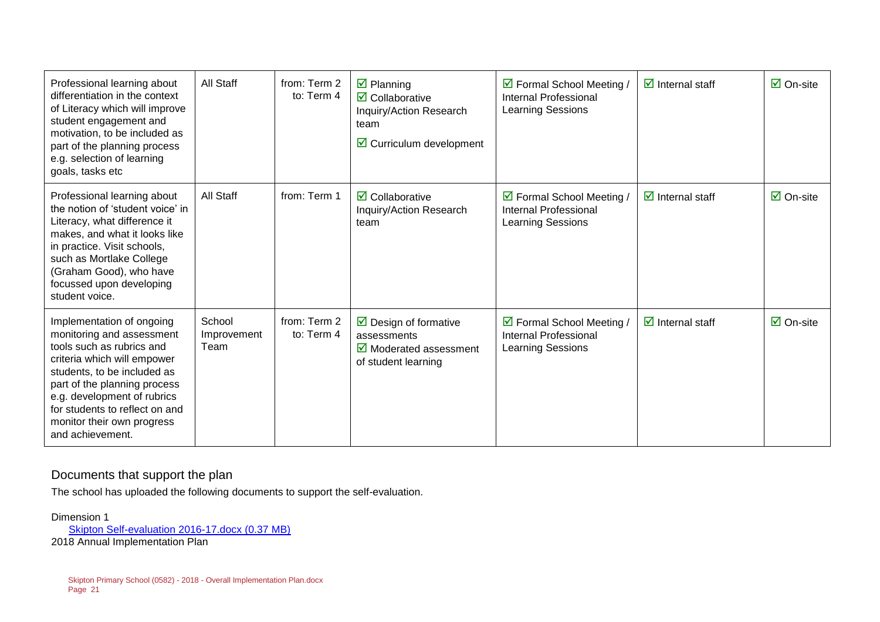| Professional learning about<br>differentiation in the context<br>of Literacy which will improve<br>student engagement and<br>motivation, to be included as<br>part of the planning process<br>e.g. selection of learning<br>goals, tasks etc                                                         | All Staff                     | from: Term 2<br>to: Term 4 | $\boxtimes$ Planning<br>$\overline{\mathbf{2}}$ Collaborative<br>Inquiry/Action Research<br>team<br>$\triangleright$ Curriculum development | ☑ Formal School Meeting /<br>Internal Professional<br><b>Learning Sessions</b>        | $\boxdot$ Internal staff               | $\overline{\mathsf{M}}$ On-site |
|------------------------------------------------------------------------------------------------------------------------------------------------------------------------------------------------------------------------------------------------------------------------------------------------------|-------------------------------|----------------------------|---------------------------------------------------------------------------------------------------------------------------------------------|---------------------------------------------------------------------------------------|----------------------------------------|---------------------------------|
| Professional learning about<br>the notion of 'student voice' in<br>Literacy, what difference it<br>makes, and what it looks like<br>in practice. Visit schools,<br>such as Mortlake College<br>(Graham Good), who have<br>focussed upon developing<br>student voice.                                 | <b>All Staff</b>              | from: Term 1               | $\overline{\mathbf{2}}$ Collaborative<br>Inquiry/Action Research<br>team                                                                    | ☑ Formal School Meeting /<br><b>Internal Professional</b><br><b>Learning Sessions</b> | $\boxdot$ Internal staff               | $\overline{\mathsf{M}}$ On-site |
| Implementation of ongoing<br>monitoring and assessment<br>tools such as rubrics and<br>criteria which will empower<br>students, to be included as<br>part of the planning process<br>e.g. development of rubrics<br>for students to reflect on and<br>monitor their own progress<br>and achievement. | School<br>Improvement<br>Team | from: Term 2<br>to: Term 4 | $\triangleright$ Design of formative<br>assessments<br>$\triangleright$ Moderated assessment<br>of student learning                         | ☑ Formal School Meeting /<br><b>Internal Professional</b><br>Learning Sessions        | $\overline{\mathbf{y}}$ Internal staff | $\overline{\mathsf{M}}$ On-site |

#### Documents that support the plan

The school has uploaded the following documents to support the self-evaluation.

Dimension 1 [Skipton Self-evaluation 2016-17.docx \(0.37 MB\)](https://apps.edustar.vic.edu.au/spot/handlers/files/evidence/582/1465/1/Skipton%20Self-evaluation%202016-17.docx) 2018 Annual Implementation Plan

Skipton Primary School (0582) - 2018 - Overall Implementation Plan.docx Page 21